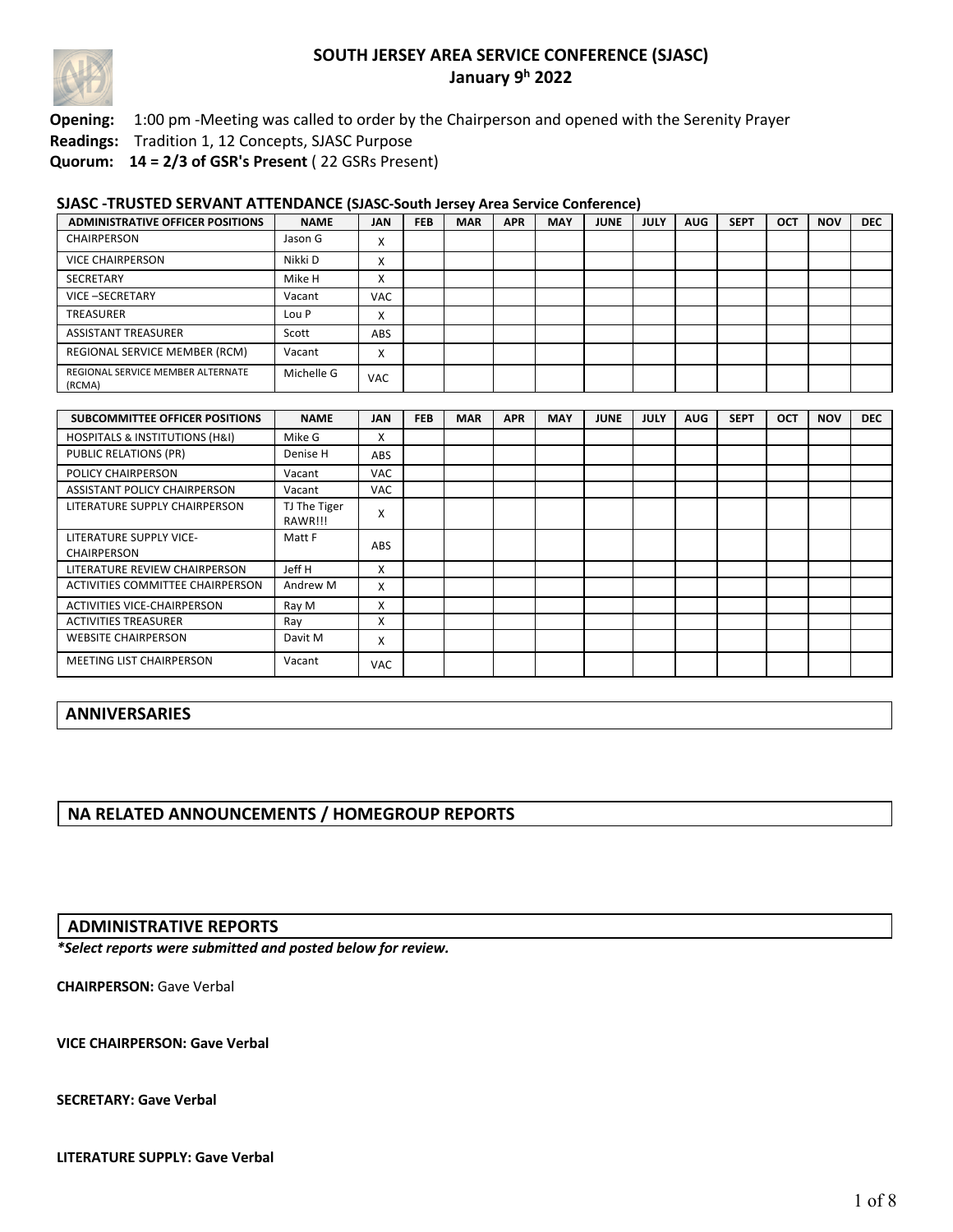

**Opening:** 1:00 pm -Meeting was called to order by the Chairperson and opened with the Serenity Prayer

**Readings:** Tradition 1, 12 Concepts, SJASC Purpose

**Quorum: 14 = 2/3 of GSR's Present** ( 22 GSRs Present)

#### **SJASC -TRUSTED SERVANT ATTENDANCE (SJASC-South Jersey Area Service Conference)**

| <b>ADMINISTRATIVE OFFICER POSITIONS</b>     | <b>NAME</b> | <b>JAN</b>               | <b>FEB</b> | <b>MAR</b> | <b>APR</b> | <b>MAY</b> | <b>JUNE</b> | <b>JULY</b> | <b>AUG</b> | <b>SEPT</b> | <b>OCT</b> | <b>NOV</b> | <b>DEC</b> |
|---------------------------------------------|-------------|--------------------------|------------|------------|------------|------------|-------------|-------------|------------|-------------|------------|------------|------------|
| <b>CHAIRPERSON</b>                          | Jason G     | $\checkmark$<br>∧        |            |            |            |            |             |             |            |             |            |            |            |
| VICE CHAIRPERSON                            | Nikki D     | $\checkmark$<br>⋏        |            |            |            |            |             |             |            |             |            |            |            |
| <b>SECRETARY</b>                            | Mike H      | $\checkmark$<br>∧        |            |            |            |            |             |             |            |             |            |            |            |
| <b>VICE-SECRETARY</b>                       | Vacant      | <b>VAC</b>               |            |            |            |            |             |             |            |             |            |            |            |
| TREASURER                                   | Lou P       | X                        |            |            |            |            |             |             |            |             |            |            |            |
| <b>ASSISTANT TREASURER</b>                  | Scott       | ABS                      |            |            |            |            |             |             |            |             |            |            |            |
| REGIONAL SERVICE MEMBER (RCM)               | Vacant      | $\mathbf v$<br>$\lambda$ |            |            |            |            |             |             |            |             |            |            |            |
| REGIONAL SERVICE MEMBER ALTERNATE<br>(RCMA) | Michelle G  | <b>VAC</b>               |            |            |            |            |             |             |            |             |            |            |            |

| <b>SUBCOMMITTEE OFFICER POSITIONS</b>         | <b>NAME</b>             | <b>JAN</b> | <b>FEB</b> | <b>MAR</b> | <b>APR</b> | <b>MAY</b> | <b>JUNE</b> | <b>JULY</b> | <b>AUG</b> | <b>SEPT</b> | <b>OCT</b> | <b>NOV</b> | <b>DEC</b> |
|-----------------------------------------------|-------------------------|------------|------------|------------|------------|------------|-------------|-------------|------------|-------------|------------|------------|------------|
| <b>HOSPITALS &amp; INSTITUTIONS (H&amp;I)</b> | Mike G                  | x          |            |            |            |            |             |             |            |             |            |            |            |
| <b>PUBLIC RELATIONS (PR)</b>                  | Denise H                | <b>ABS</b> |            |            |            |            |             |             |            |             |            |            |            |
| <b>POLICY CHAIRPERSON</b>                     | Vacant                  | <b>VAC</b> |            |            |            |            |             |             |            |             |            |            |            |
| ASSISTANT POLICY CHAIRPERSON                  | Vacant                  | <b>VAC</b> |            |            |            |            |             |             |            |             |            |            |            |
| LITERATURE SUPPLY CHAIRPERSON                 | TJ The Tiger<br>RAWR!!! | X          |            |            |            |            |             |             |            |             |            |            |            |
| LITERATURE SUPPLY VICE-<br><b>CHAIRPERSON</b> | Matt F                  | <b>ABS</b> |            |            |            |            |             |             |            |             |            |            |            |
| LITERATURE REVIEW CHAIRPERSON                 | Jeff H                  | x          |            |            |            |            |             |             |            |             |            |            |            |
| ACTIVITIES COMMITTEE CHAIRPERSON              | Andrew M                | x          |            |            |            |            |             |             |            |             |            |            |            |
| <b>ACTIVITIES VICE-CHAIRPERSON</b>            | Ray M                   | x          |            |            |            |            |             |             |            |             |            |            |            |
| <b>ACTIVITIES TREASURER</b>                   | Ray                     | x          |            |            |            |            |             |             |            |             |            |            |            |
| <b>WEBSITE CHAIRPERSON</b>                    | Davit M                 | x          |            |            |            |            |             |             |            |             |            |            |            |
| <b>MEETING LIST CHAIRPERSON</b>               | Vacant                  | <b>VAC</b> |            |            |            |            |             |             |            |             |            |            |            |

### **ANNIVERSARIES**

### **NA RELATED ANNOUNCEMENTS / HOMEGROUP REPORTS**

### **ADMINISTRATIVE REPORTS**

*\*Select reports were submitted and posted below for review.*

**CHAIRPERSON:** Gave Verbal

**VICE CHAIRPERSON: Gave Verbal**

**SECRETARY: Gave Verbal**

**LITERATURE SUPPLY: Gave Verbal**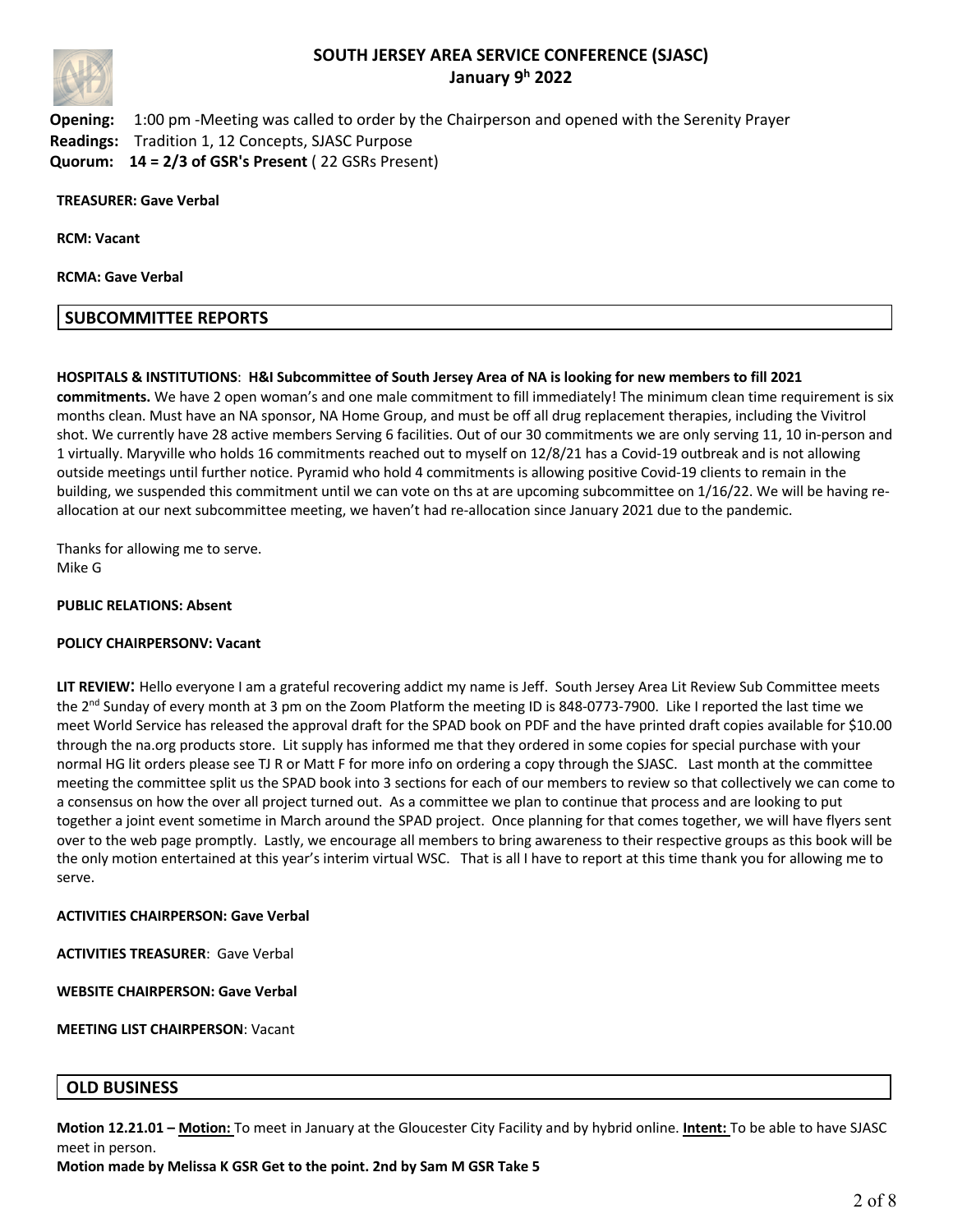

**Opening:** 1:00 pm -Meeting was called to order by the Chairperson and opened with the Serenity Prayer **Readings:** Tradition 1, 12 Concepts, SJASC Purpose **Quorum: 14 = 2/3 of GSR's Present** ( 22 GSRs Present)

**TREASURER: Gave Verbal**

**RCM: Vacant**

**RCMA: Gave Verbal**

#### **SUBCOMMITTEE REPORTS**

#### **HOSPITALS & INSTITUTIONS**: **H&I Subcommittee of South Jersey Area of NA is looking for new members to fill 2021**

**commitments.** We have 2 open woman's and one male commitment to fill immediately! The minimum clean time requirement is six months clean. Must have an NA sponsor, NA Home Group, and must be off all drug replacement therapies, including the Vivitrol shot. We currently have 28 active members Serving 6 facilities. Out of our 30 commitments we are only serving 11, 10 in-person and 1 virtually. Maryville who holds 16 commitments reached out to myself on 12/8/21 has a Covid-19 outbreak and is not allowing outside meetings until further notice. Pyramid who hold 4 commitments is allowing positive Covid-19 clients to remain in the building, we suspended this commitment until we can vote on ths at are upcoming subcommittee on 1/16/22. We will be having reallocation at our next subcommittee meeting, we haven't had re-allocation since January 2021 due to the pandemic.

Thanks for allowing me to serve. Mike G

#### **PUBLIC RELATIONS: Absent**

#### **POLICY CHAIRPERSONV: Vacant**

**LIT REVIEW**: Hello everyone I am a grateful recovering addict my name is Jeff. South Jersey Area Lit Review Sub Committee meets the 2<sup>nd</sup> Sunday of every month at 3 pm on the Zoom Platform the meeting ID is 848-0773-7900. Like I reported the last time we meet World Service has released the approval draft for the SPAD book on PDF and the have printed draft copies available for \$10.00 through the na.org products store. Lit supply has informed me that they ordered in some copies for special purchase with your normal HG lit orders please see TJ R or Matt F for more info on ordering a copy through the SJASC. Last month at the committee meeting the committee split us the SPAD book into 3 sections for each of our members to review so that collectively we can come to a consensus on how the over all project turned out. As a committee we plan to continue that process and are looking to put together a joint event sometime in March around the SPAD project. Once planning for that comes together, we will have flyers sent over to the web page promptly. Lastly, we encourage all members to bring awareness to their respective groups as this book will be the only motion entertained at this year's interim virtual WSC. That is all I have to report at this time thank you for allowing me to serve.

#### **ACTIVITIES CHAIRPERSON: Gave Verbal**

**ACTIVITIES TREASURER**: Gave Verbal

**WEBSITE CHAIRPERSON: Gave Verbal**

**MEETING LIST CHAIRPERSON**: Vacant

### **OLD BUSINESS**

**Motion 12.21.01 – Motion:** To meet in January at the Gloucester City Facility and by hybrid online. **Intent:** To be able to have SJASC meet in person.

**Motion made by Melissa K GSR Get to the point. 2nd by Sam M GSR Take 5**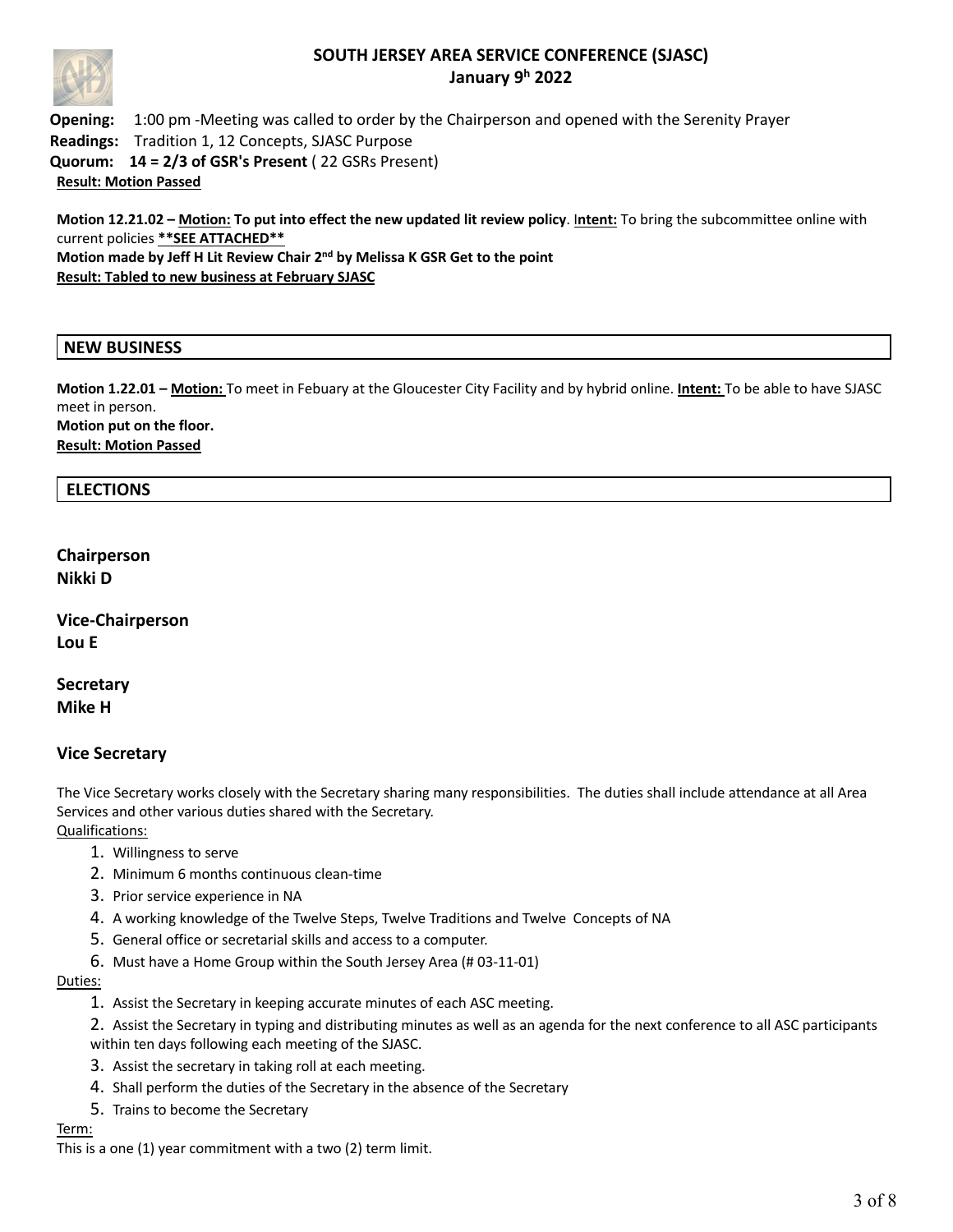

**Opening:** 1:00 pm -Meeting was called to order by the Chairperson and opened with the Serenity Prayer **Readings:** Tradition 1, 12 Concepts, SJASC Purpose **Quorum: 14 = 2/3 of GSR's Present** ( 22 GSRs Present) **Result: Motion Passed**

**Motion 12.21.02 – Motion: To put into effect the new updated lit review policy**. I**ntent:** To bring the subcommittee online with current policies **\*\*SEE ATTACHED\*\* Motion made by Jeff H Lit Review Chair 2nd by Melissa K GSR Get to the point Result: Tabled to new business at February SJASC**

### **NEW BUSINESS**

**Motion 1.22.01 – Motion:** To meet in Febuary at the Gloucester City Facility and by hybrid online. **Intent:** To be able to have SJASC meet in person. **Motion put on the floor. Result: Motion Passed**

### **ELECTIONS**

**Chairperson Nikki D**

**Vice-Chairperson Lou E**

**Secretary Mike H**

### **Vice Secretary**

The Vice Secretary works closely with the Secretary sharing many responsibilities. The duties shall include attendance at all Area Services and other various duties shared with the Secretary. Qualifications:

- 1. Willingness to serve
- 2. Minimum 6 months continuous clean-time
- 3. Prior service experience in NA
- 4. A working knowledge of the Twelve Steps, Twelve Traditions and Twelve Concepts of NA
- 5. General office or secretarial skills and access to a computer.
- 6. Must have a Home Group within the South Jersey Area (# 03-11-01)

#### Duties:

- 1. Assist the Secretary in keeping accurate minutes of each ASC meeting.
- 2. Assist the Secretary in typing and distributing minutes as well as an agenda for the next conference to all ASC participants within ten days following each meeting of the SJASC.
- 3. Assist the secretary in taking roll at each meeting.
- 4. Shall perform the duties of the Secretary in the absence of the Secretary
- 5. Trains to become the Secretary

#### Term:

This is a one (1) year commitment with a two (2) term limit.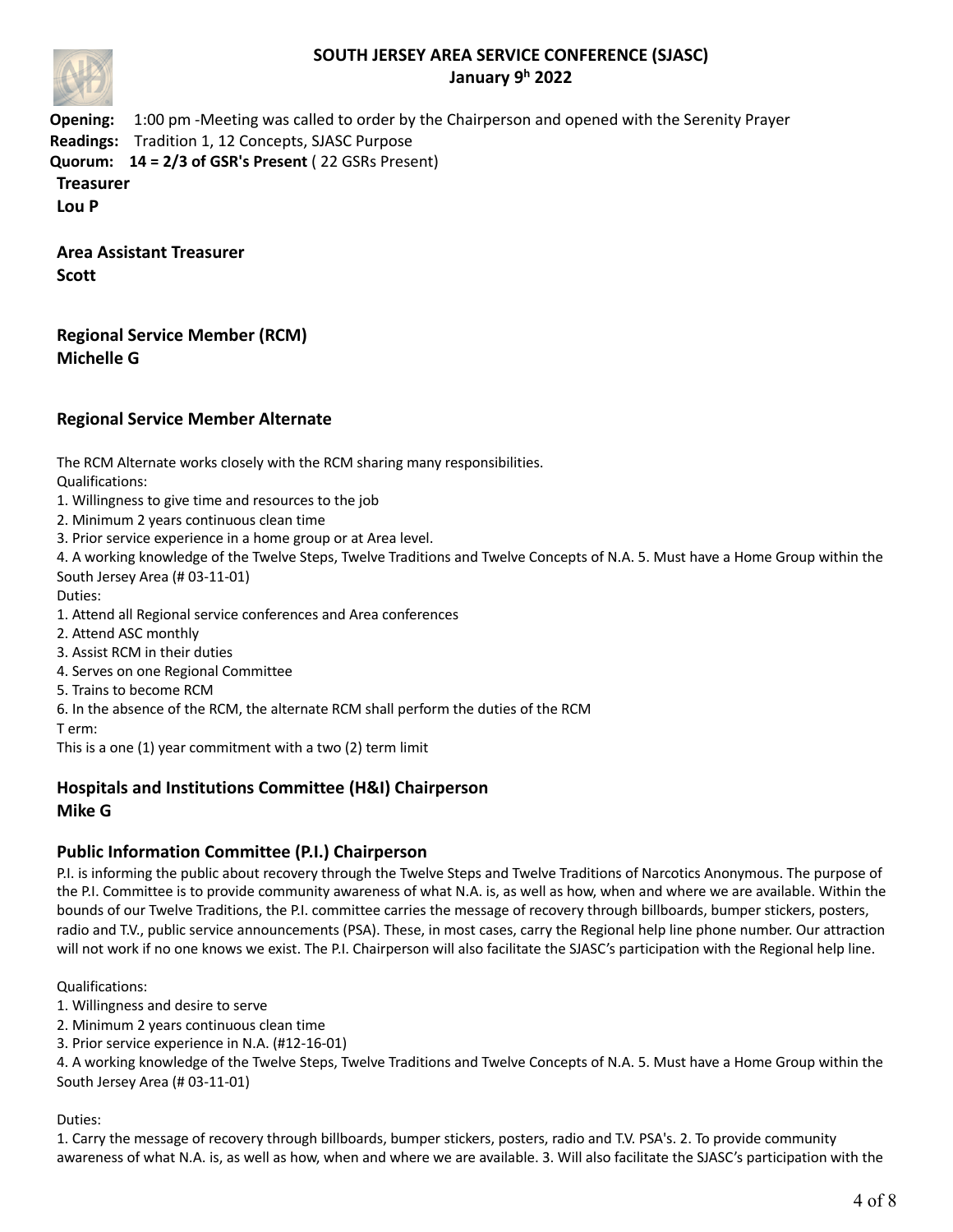

**Opening:** 1:00 pm -Meeting was called to order by the Chairperson and opened with the Serenity Prayer **Readings:** Tradition 1, 12 Concepts, SJASC Purpose **Quorum: 14 = 2/3 of GSR's Present** ( 22 GSRs Present) **Treasurer Lou P**

**Area Assistant Treasurer Scott**

**Regional Service Member (RCM) Michelle G**

## **Regional Service Member Alternate**

The RCM Alternate works closely with the RCM sharing many responsibilities.

Qualifications:

- 1. Willingness to give time and resources to the job
- 2. Minimum 2 years continuous clean time
- 3. Prior service experience in a home group or at Area level.

4. A working knowledge of the Twelve Steps, Twelve Traditions and Twelve Concepts of N.A. 5. Must have a Home Group within the South Jersey Area (# 03-11-01)

Duties:

- 1. Attend all Regional service conferences and Area conferences
- 2. Attend ASC monthly
- 3. Assist RCM in their duties
- 4. Serves on one Regional Committee
- 5. Trains to become RCM
- 6. In the absence of the RCM, the alternate RCM shall perform the duties of the RCM

T erm:

This is a one (1) year commitment with a two (2) term limit

### **Hospitals and Institutions Committee (H&I) Chairperson Mike G**

### **Public Information Committee (P.I.) Chairperson**

P.I. is informing the public about recovery through the Twelve Steps and Twelve Traditions of Narcotics Anonymous. The purpose of the P.I. Committee is to provide community awareness of what N.A. is, as well as how, when and where we are available. Within the bounds of our Twelve Traditions, the P.I. committee carries the message of recovery through billboards, bumper stickers, posters, radio and T.V., public service announcements (PSA). These, in most cases, carry the Regional help line phone number. Our attraction will not work if no one knows we exist. The P.I. Chairperson will also facilitate the SJASC's participation with the Regional help line.

Qualifications:

- 1. Willingness and desire to serve
- 2. Minimum 2 years continuous clean time
- 3. Prior service experience in N.A. (#12-16-01)

4. A working knowledge of the Twelve Steps, Twelve Traditions and Twelve Concepts of N.A. 5. Must have a Home Group within the South Jersey Area (# 03-11-01)

#### Duties:

1. Carry the message of recovery through billboards, bumper stickers, posters, radio and T.V. PSA's. 2. To provide community awareness of what N.A. is, as well as how, when and where we are available. 3. Will also facilitate the SJASC's participation with the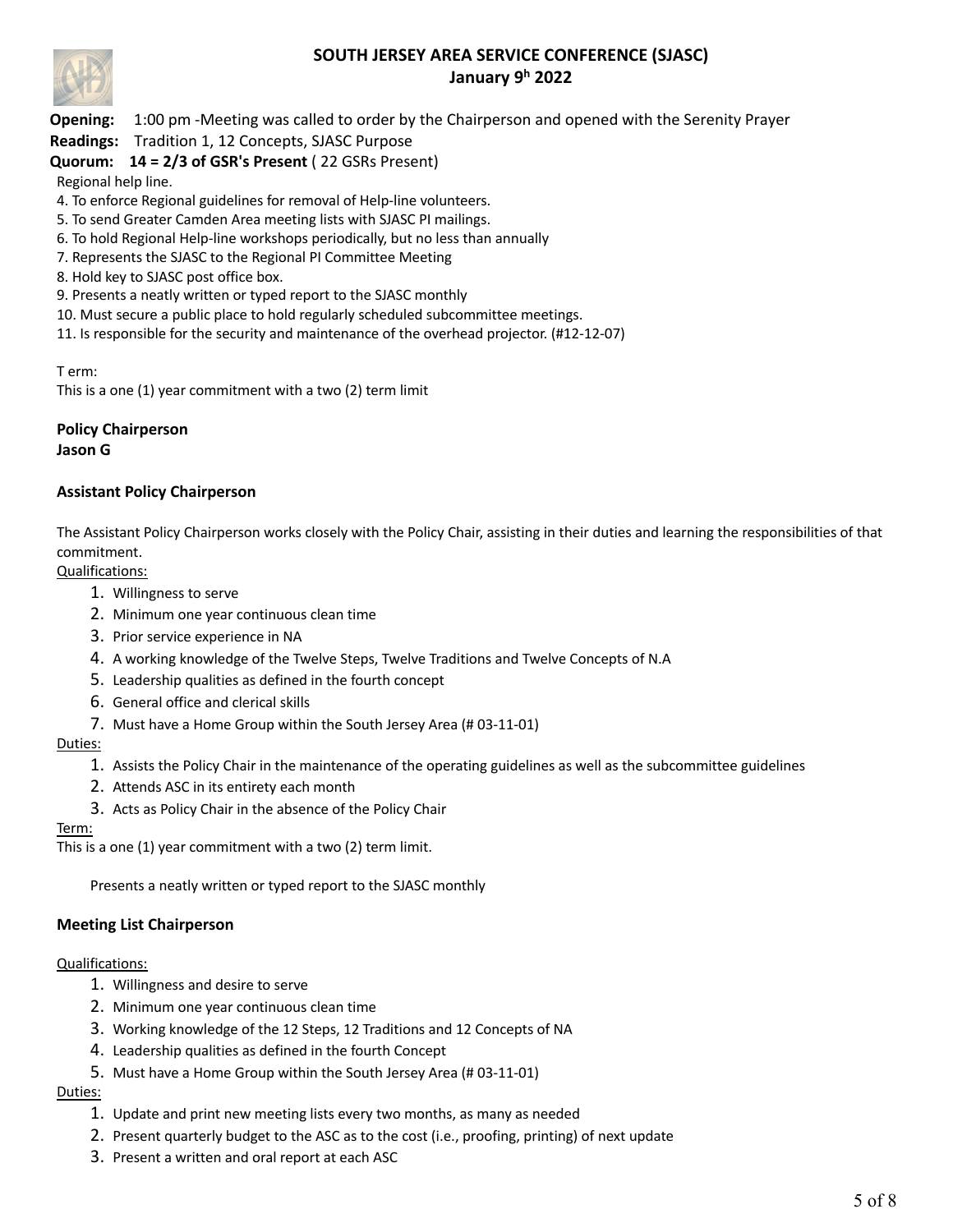

**Opening:** 1:00 pm -Meeting was called to order by the Chairperson and opened with the Serenity Prayer

**Readings:** Tradition 1, 12 Concepts, SJASC Purpose

## **Quorum: 14 = 2/3 of GSR's Present** ( 22 GSRs Present)

Regional help line.

- 4. To enforce Regional guidelines for removal of Help-line volunteers.
- 5. To send Greater Camden Area meeting lists with SJASC PI mailings.
- 6. To hold Regional Help-line workshops periodically, but no less than annually
- 7. Represents the SJASC to the Regional PI Committee Meeting
- 8. Hold key to SJASC post office box.
- 9. Presents a neatly written or typed report to the SJASC monthly
- 10. Must secure a public place to hold regularly scheduled subcommittee meetings.
- 11. Is responsible for the security and maintenance of the overhead projector. (#12-12-07)

T erm:

This is a one (1) year commitment with a two (2) term limit

### **Policy Chairperson Jason G**

### **Assistant Policy Chairperson**

The Assistant Policy Chairperson works closely with the Policy Chair, assisting in their duties and learning the responsibilities of that commitment.

Qualifications:

- 1. Willingness to serve
- 2. Minimum one year continuous clean time
- 3. Prior service experience in NA
- 4. A working knowledge of the Twelve Steps, Twelve Traditions and Twelve Concepts of N.A
- 5. Leadership qualities as defined in the fourth concept
- 6. General office and clerical skills
- 7. Must have a Home Group within the South Jersey Area (# 03-11-01)

### Duties:

- 1. Assists the Policy Chair in the maintenance of the operating guidelines as well as the subcommittee guidelines
- 2. Attends ASC in its entirety each month
- 3. Acts as Policy Chair in the absence of the Policy Chair

#### Term:

This is a one (1) year commitment with a two (2) term limit.

Presents a neatly written or typed report to the SJASC monthly

### **Meeting List Chairperson**

#### Qualifications:

- 1. Willingness and desire to serve
- 2. Minimum one year continuous clean time
- 3. Working knowledge of the 12 Steps, 12 Traditions and 12 Concepts of NA
- 4. Leadership qualities as defined in the fourth Concept
- 5. Must have a Home Group within the South Jersey Area (# 03-11-01)

### Duties:

- 1. Update and print new meeting lists every two months, as many as needed
- 2. Present quarterly budget to the ASC as to the cost (i.e., proofing, printing) of next update
- 3. Present a written and oral report at each ASC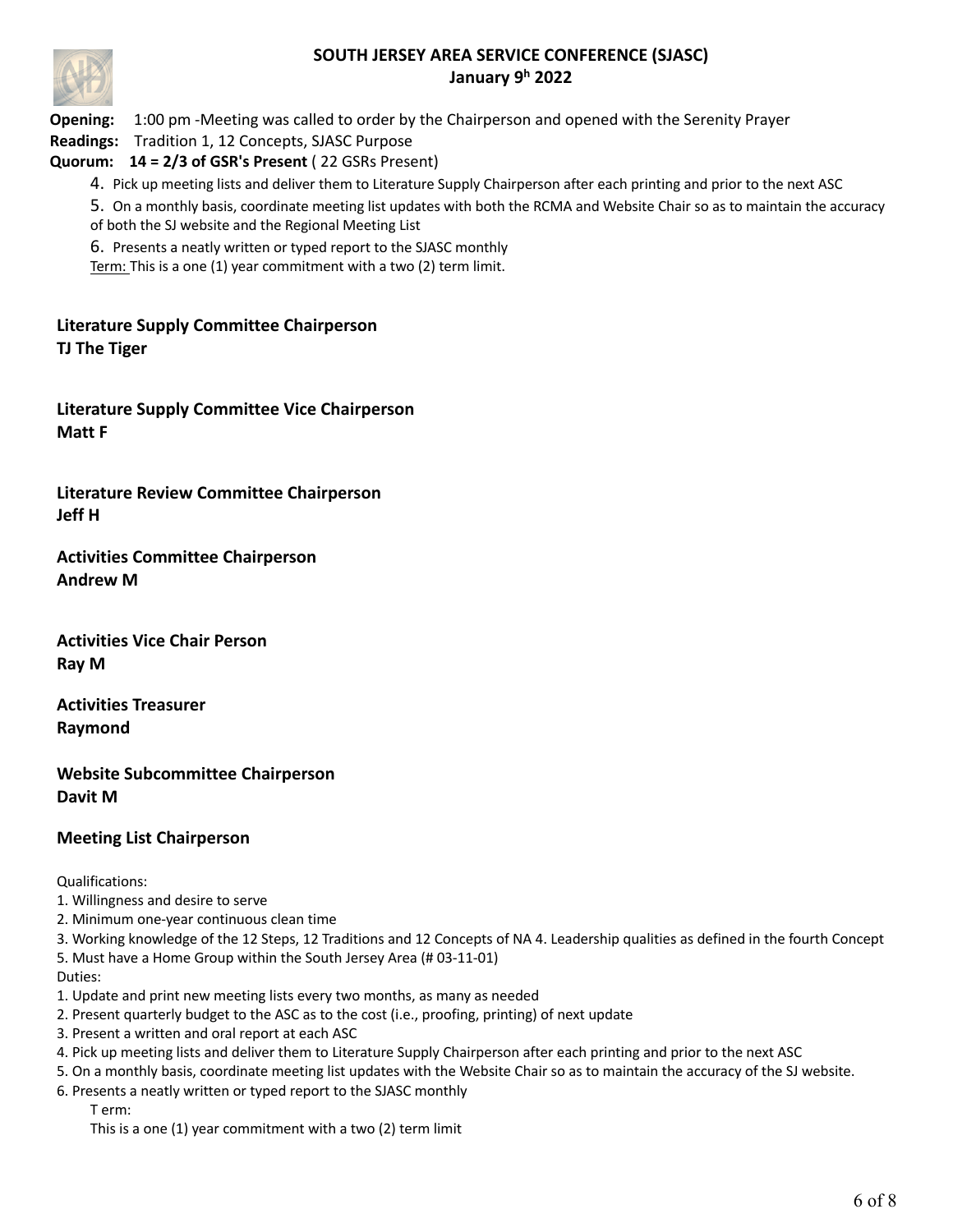

**Opening:** 1:00 pm -Meeting was called to order by the Chairperson and opened with the Serenity Prayer

**Readings:** Tradition 1, 12 Concepts, SJASC Purpose

## **Quorum: 14 = 2/3 of GSR's Present** ( 22 GSRs Present)

4. Pick up meeting lists and deliver them to Literature Supply Chairperson after each printing and prior to the next ASC

5. On a monthly basis, coordinate meeting list updates with both the RCMA and Website Chair so as to maintain the accuracy of both the SJ website and the Regional Meeting List

6. Presents a neatly written or typed report to the SJASC monthly

Term: This is a one (1) year commitment with a two (2) term limit.

**Literature Supply Committee Chairperson TJ The Tiger**

**Literature Supply Committee Vice Chairperson Matt F**

**Literature Review Committee Chairperson Jeff H**

**Activities Committee Chairperson Andrew M**

**Activities Vice Chair Person Ray M**

**Activities Treasurer Raymond**

**Website Subcommittee Chairperson Davit M**

## **Meeting List Chairperson**

Qualifications:

1. Willingness and desire to serve

2. Minimum one-year continuous clean time

3. Working knowledge of the 12 Steps, 12 Traditions and 12 Concepts of NA 4. Leadership qualities as defined in the fourth Concept 5. Must have a Home Group within the South Jersey Area (# 03-11-01)

Duties:

1. Update and print new meeting lists every two months, as many as needed

- 2. Present quarterly budget to the ASC as to the cost (i.e., proofing, printing) of next update
- 3. Present a written and oral report at each ASC
- 4. Pick up meeting lists and deliver them to Literature Supply Chairperson after each printing and prior to the next ASC
- 5. On a monthly basis, coordinate meeting list updates with the Website Chair so as to maintain the accuracy of the SJ website.
- 6. Presents a neatly written or typed report to the SJASC monthly

T erm:

This is a one (1) year commitment with a two (2) term limit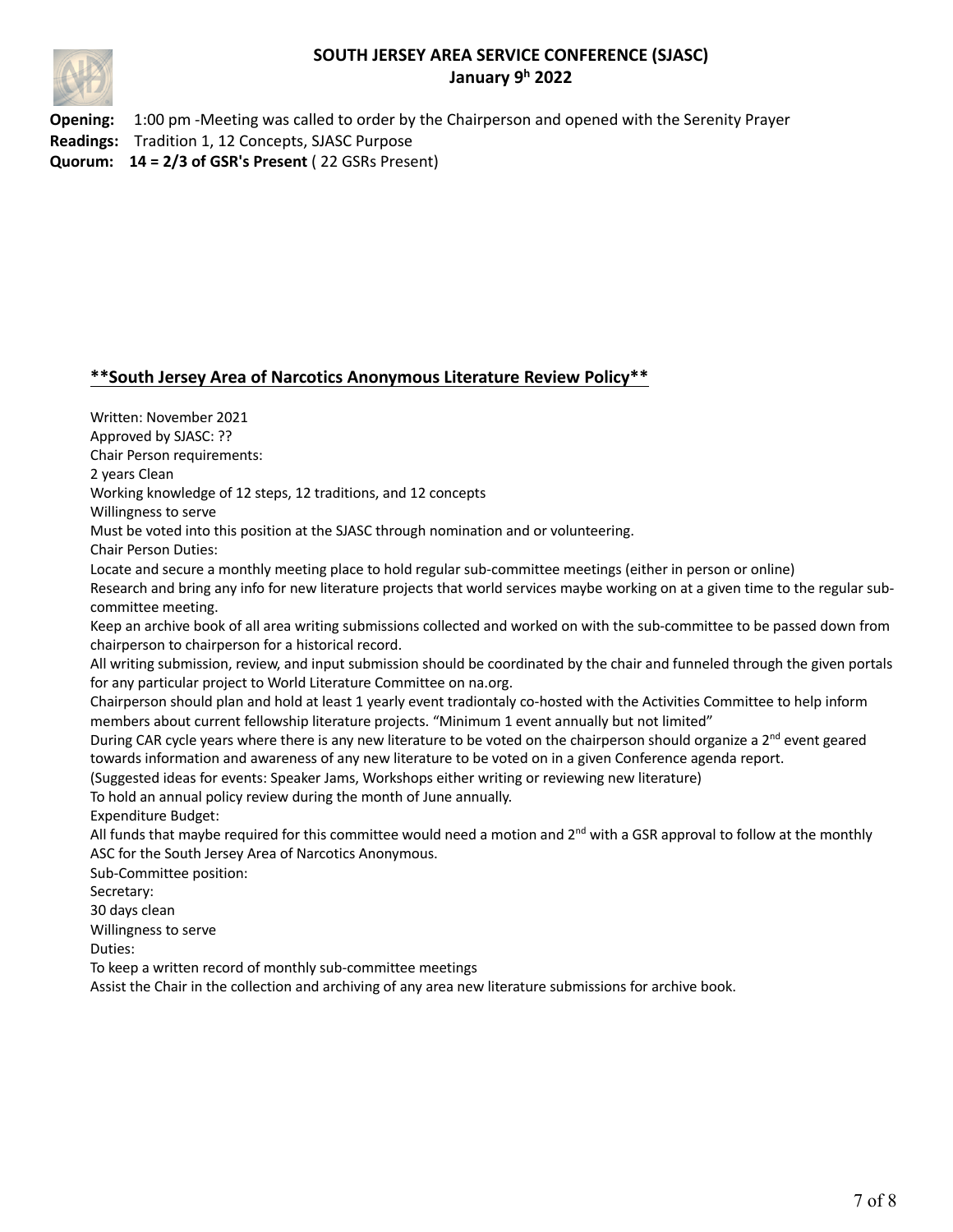

**Opening:** 1:00 pm -Meeting was called to order by the Chairperson and opened with the Serenity Prayer **Readings:** Tradition 1, 12 Concepts, SJASC Purpose **Quorum: 14 = 2/3 of GSR's Present** ( 22 GSRs Present)

### **\*\*South Jersey Area of Narcotics Anonymous Literature Review Policy\*\***

Written: November 2021 Approved by SJASC: ?? Chair Person requirements: 2 years Clean Working knowledge of 12 steps, 12 traditions, and 12 concepts Willingness to serve Must be voted into this position at the SJASC through nomination and or volunteering. Chair Person Duties: Locate and secure a monthly meeting place to hold regular sub-committee meetings (either in person or online) Research and bring any info for new literature projects that world services maybe working on at a given time to the regular subcommittee meeting. Keep an archive book of all area writing submissions collected and worked on with the sub-committee to be passed down from chairperson to chairperson for a historical record. All writing submission, review, and input submission should be coordinated by the chair and funneled through the given portals for any particular project to World Literature Committee on na.org. Chairperson should plan and hold at least 1 yearly event tradiontaly co-hosted with the Activities Committee to help inform members about current fellowship literature projects. "Minimum 1 event annually but not limited" During CAR cycle years where there is any new literature to be voted on the chairperson should organize a  $2^{nd}$  event geared towards information and awareness of any new literature to be voted on in a given Conference agenda report. (Suggested ideas for events: Speaker Jams, Workshops either writing or reviewing new literature) To hold an annual policy review during the month of June annually. Expenditure Budget: All funds that maybe required for this committee would need a motion and  $2^{nd}$  with a GSR approval to follow at the monthly ASC for the South Jersey Area of Narcotics Anonymous. Sub-Committee position: Secretary: 30 days clean Willingness to serve Duties: To keep a written record of monthly sub-committee meetings Assist the Chair in the collection and archiving of any area new literature submissions for archive book.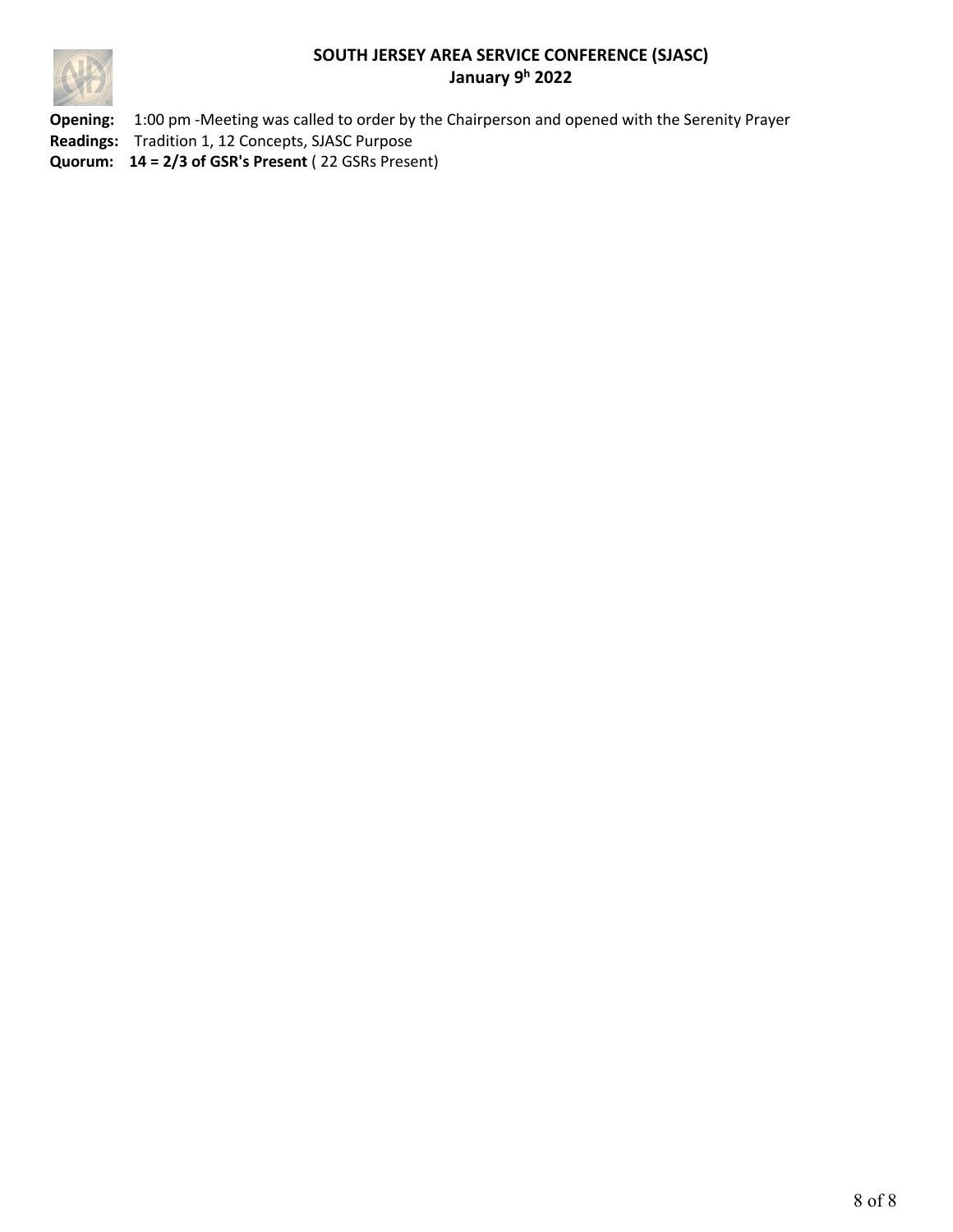

**Opening:** 1:00 pm -Meeting was called to order by the Chairperson and opened with the Serenity Prayer **Readings:** Tradition 1, 12 Concepts, SJASC Purpose **Quorum: 14 = 2/3 of GSR's Present** ( 22 GSRs Present)